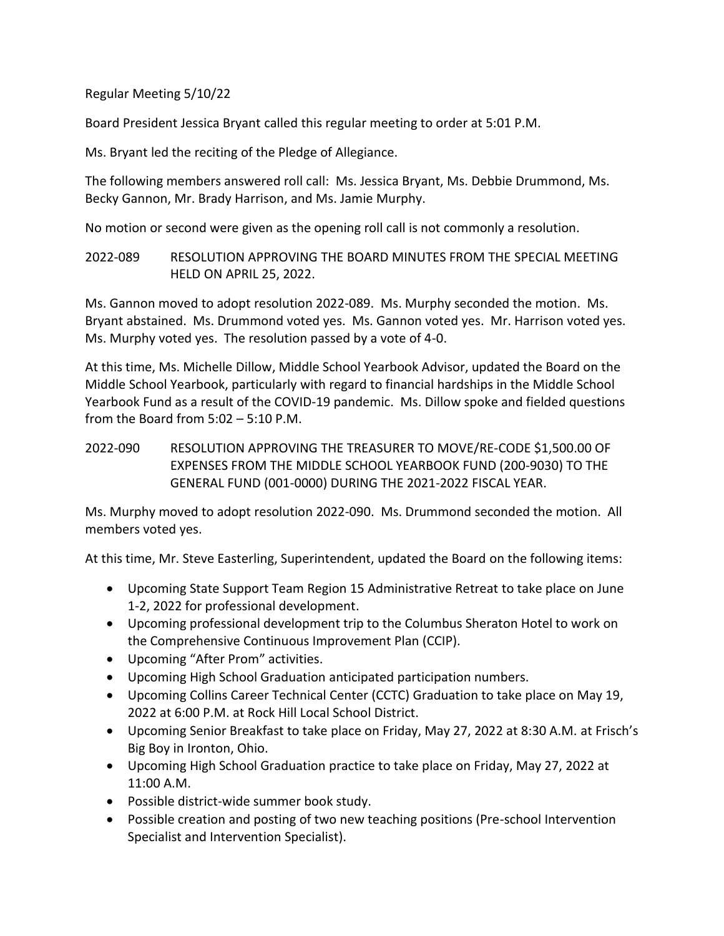Regular Meeting 5/10/22

Board President Jessica Bryant called this regular meeting to order at 5:01 P.M.

Ms. Bryant led the reciting of the Pledge of Allegiance.

The following members answered roll call: Ms. Jessica Bryant, Ms. Debbie Drummond, Ms. Becky Gannon, Mr. Brady Harrison, and Ms. Jamie Murphy.

No motion or second were given as the opening roll call is not commonly a resolution.

2022-089 RESOLUTION APPROVING THE BOARD MINUTES FROM THE SPECIAL MEETING HELD ON APRIL 25, 2022.

Ms. Gannon moved to adopt resolution 2022-089. Ms. Murphy seconded the motion. Ms. Bryant abstained. Ms. Drummond voted yes. Ms. Gannon voted yes. Mr. Harrison voted yes. Ms. Murphy voted yes. The resolution passed by a vote of 4-0.

At this time, Ms. Michelle Dillow, Middle School Yearbook Advisor, updated the Board on the Middle School Yearbook, particularly with regard to financial hardships in the Middle School Yearbook Fund as a result of the COVID-19 pandemic. Ms. Dillow spoke and fielded questions from the Board from 5:02 – 5:10 P.M.

2022-090 RESOLUTION APPROVING THE TREASURER TO MOVE/RE-CODE \$1,500.00 OF EXPENSES FROM THE MIDDLE SCHOOL YEARBOOK FUND (200-9030) TO THE GENERAL FUND (001-0000) DURING THE 2021-2022 FISCAL YEAR.

Ms. Murphy moved to adopt resolution 2022-090. Ms. Drummond seconded the motion. All members voted yes.

At this time, Mr. Steve Easterling, Superintendent, updated the Board on the following items:

- Upcoming State Support Team Region 15 Administrative Retreat to take place on June 1-2, 2022 for professional development.
- Upcoming professional development trip to the Columbus Sheraton Hotel to work on the Comprehensive Continuous Improvement Plan (CCIP).
- Upcoming "After Prom" activities.
- Upcoming High School Graduation anticipated participation numbers.
- Upcoming Collins Career Technical Center (CCTC) Graduation to take place on May 19, 2022 at 6:00 P.M. at Rock Hill Local School District.
- Upcoming Senior Breakfast to take place on Friday, May 27, 2022 at 8:30 A.M. at Frisch's Big Boy in Ironton, Ohio.
- Upcoming High School Graduation practice to take place on Friday, May 27, 2022 at 11:00 A.M.
- Possible district-wide summer book study.
- Possible creation and posting of two new teaching positions (Pre-school Intervention Specialist and Intervention Specialist).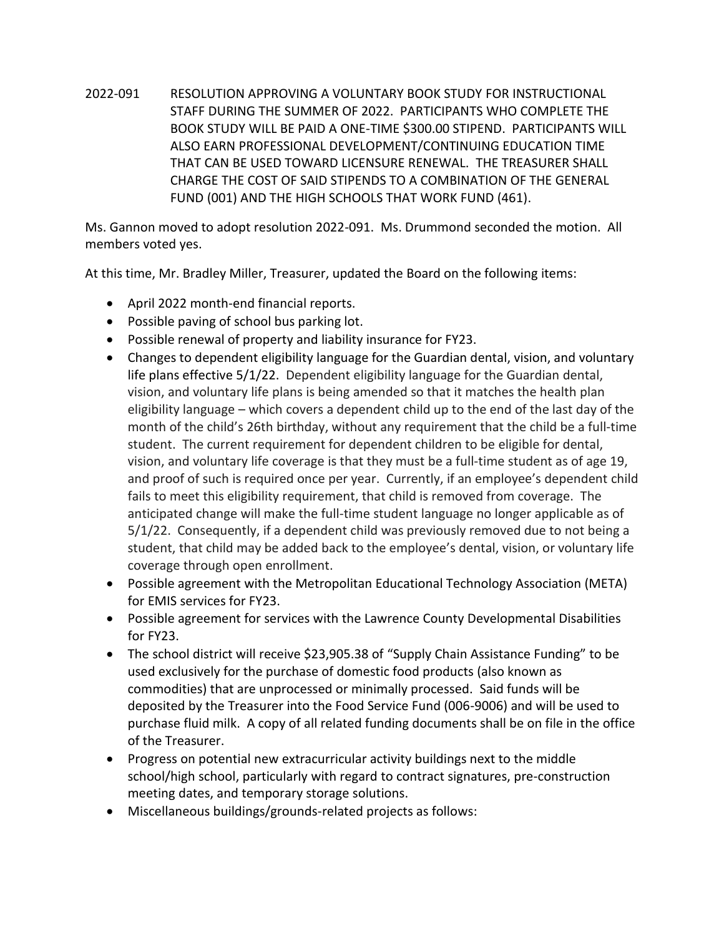2022-091 RESOLUTION APPROVING A VOLUNTARY BOOK STUDY FOR INSTRUCTIONAL STAFF DURING THE SUMMER OF 2022. PARTICIPANTS WHO COMPLETE THE BOOK STUDY WILL BE PAID A ONE-TIME \$300.00 STIPEND. PARTICIPANTS WILL ALSO EARN PROFESSIONAL DEVELOPMENT/CONTINUING EDUCATION TIME THAT CAN BE USED TOWARD LICENSURE RENEWAL. THE TREASURER SHALL CHARGE THE COST OF SAID STIPENDS TO A COMBINATION OF THE GENERAL FUND (001) AND THE HIGH SCHOOLS THAT WORK FUND (461).

Ms. Gannon moved to adopt resolution 2022-091. Ms. Drummond seconded the motion. All members voted yes.

At this time, Mr. Bradley Miller, Treasurer, updated the Board on the following items:

- April 2022 month-end financial reports.
- Possible paving of school bus parking lot.
- Possible renewal of property and liability insurance for FY23.
- Changes to dependent eligibility language for the Guardian dental, vision, and voluntary life plans effective 5/1/22. Dependent eligibility language for the Guardian dental, vision, and voluntary life plans is being amended so that it matches the health plan eligibility language – which covers a dependent child up to the end of the last day of the month of the child's 26th birthday, without any requirement that the child be a full-time student. The current requirement for dependent children to be eligible for dental, vision, and voluntary life coverage is that they must be a full-time student as of age 19, and proof of such is required once per year. Currently, if an employee's dependent child fails to meet this eligibility requirement, that child is removed from coverage. The anticipated change will make the full-time student language no longer applicable as of 5/1/22. Consequently, if a dependent child was previously removed due to not being a student, that child may be added back to the employee's dental, vision, or voluntary life coverage through open enrollment.
- Possible agreement with the Metropolitan Educational Technology Association (META) for EMIS services for FY23.
- Possible agreement for services with the Lawrence County Developmental Disabilities for FY23.
- The school district will receive \$23,905.38 of "Supply Chain Assistance Funding" to be used exclusively for the purchase of domestic food products (also known as commodities) that are unprocessed or minimally processed. Said funds will be deposited by the Treasurer into the Food Service Fund (006-9006) and will be used to purchase fluid milk. A copy of all related funding documents shall be on file in the office of the Treasurer.
- Progress on potential new extracurricular activity buildings next to the middle school/high school, particularly with regard to contract signatures, pre-construction meeting dates, and temporary storage solutions.
- Miscellaneous buildings/grounds-related projects as follows: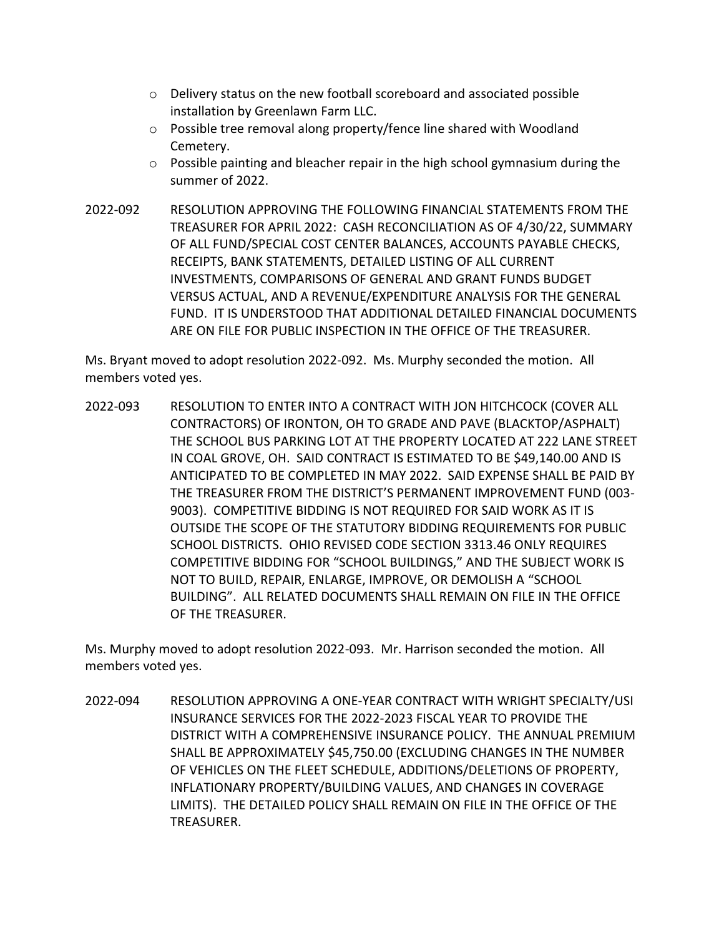- $\circ$  Delivery status on the new football scoreboard and associated possible installation by Greenlawn Farm LLC.
- o Possible tree removal along property/fence line shared with Woodland Cemetery.
- $\circ$  Possible painting and bleacher repair in the high school gymnasium during the summer of 2022.
- 2022-092 RESOLUTION APPROVING THE FOLLOWING FINANCIAL STATEMENTS FROM THE TREASURER FOR APRIL 2022: CASH RECONCILIATION AS OF 4/30/22, SUMMARY OF ALL FUND/SPECIAL COST CENTER BALANCES, ACCOUNTS PAYABLE CHECKS, RECEIPTS, BANK STATEMENTS, DETAILED LISTING OF ALL CURRENT INVESTMENTS, COMPARISONS OF GENERAL AND GRANT FUNDS BUDGET VERSUS ACTUAL, AND A REVENUE/EXPENDITURE ANALYSIS FOR THE GENERAL FUND. IT IS UNDERSTOOD THAT ADDITIONAL DETAILED FINANCIAL DOCUMENTS ARE ON FILE FOR PUBLIC INSPECTION IN THE OFFICE OF THE TREASURER.

Ms. Bryant moved to adopt resolution 2022-092. Ms. Murphy seconded the motion. All members voted yes.

2022-093 RESOLUTION TO ENTER INTO A CONTRACT WITH JON HITCHCOCK (COVER ALL CONTRACTORS) OF IRONTON, OH TO GRADE AND PAVE (BLACKTOP/ASPHALT) THE SCHOOL BUS PARKING LOT AT THE PROPERTY LOCATED AT 222 LANE STREET IN COAL GROVE, OH. SAID CONTRACT IS ESTIMATED TO BE \$49,140.00 AND IS ANTICIPATED TO BE COMPLETED IN MAY 2022. SAID EXPENSE SHALL BE PAID BY THE TREASURER FROM THE DISTRICT'S PERMANENT IMPROVEMENT FUND (003- 9003). COMPETITIVE BIDDING IS NOT REQUIRED FOR SAID WORK AS IT IS OUTSIDE THE SCOPE OF THE STATUTORY BIDDING REQUIREMENTS FOR PUBLIC SCHOOL DISTRICTS. OHIO REVISED CODE SECTION 3313.46 ONLY REQUIRES COMPETITIVE BIDDING FOR "SCHOOL BUILDINGS," AND THE SUBJECT WORK IS NOT TO BUILD, REPAIR, ENLARGE, IMPROVE, OR DEMOLISH A "SCHOOL BUILDING". ALL RELATED DOCUMENTS SHALL REMAIN ON FILE IN THE OFFICE OF THE TREASURER.

Ms. Murphy moved to adopt resolution 2022-093. Mr. Harrison seconded the motion. All members voted yes.

2022-094 RESOLUTION APPROVING A ONE-YEAR CONTRACT WITH WRIGHT SPECIALTY/USI INSURANCE SERVICES FOR THE 2022-2023 FISCAL YEAR TO PROVIDE THE DISTRICT WITH A COMPREHENSIVE INSURANCE POLICY. THE ANNUAL PREMIUM SHALL BE APPROXIMATELY \$45,750.00 (EXCLUDING CHANGES IN THE NUMBER OF VEHICLES ON THE FLEET SCHEDULE, ADDITIONS/DELETIONS OF PROPERTY, INFLATIONARY PROPERTY/BUILDING VALUES, AND CHANGES IN COVERAGE LIMITS). THE DETAILED POLICY SHALL REMAIN ON FILE IN THE OFFICE OF THE TREASURER.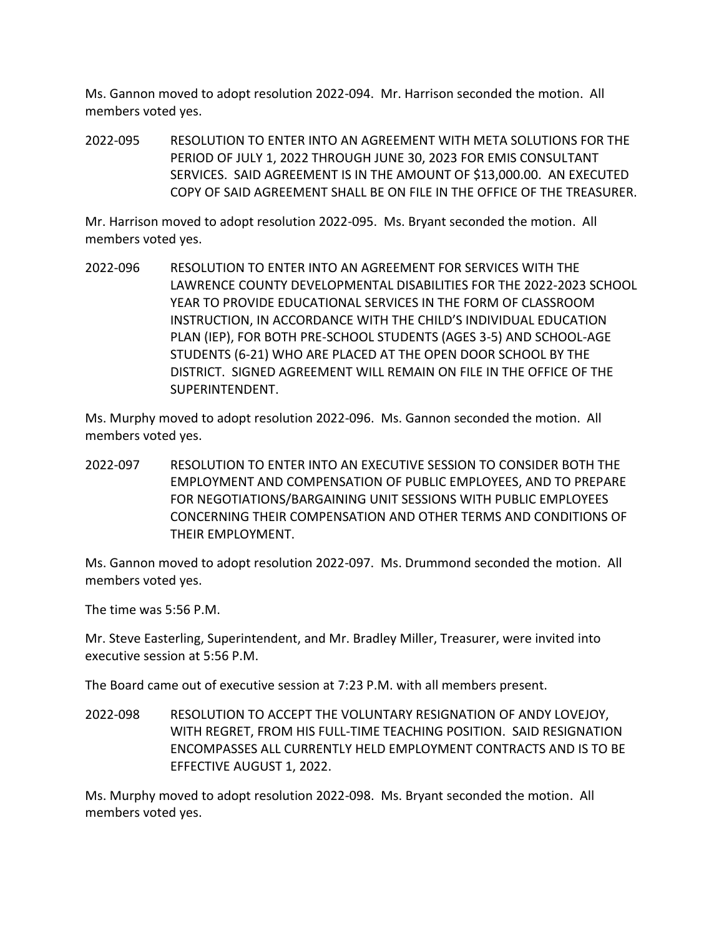Ms. Gannon moved to adopt resolution 2022-094. Mr. Harrison seconded the motion. All members voted yes.

2022-095 RESOLUTION TO ENTER INTO AN AGREEMENT WITH META SOLUTIONS FOR THE PERIOD OF JULY 1, 2022 THROUGH JUNE 30, 2023 FOR EMIS CONSULTANT SERVICES. SAID AGREEMENT IS IN THE AMOUNT OF \$13,000.00. AN EXECUTED COPY OF SAID AGREEMENT SHALL BE ON FILE IN THE OFFICE OF THE TREASURER.

Mr. Harrison moved to adopt resolution 2022-095. Ms. Bryant seconded the motion. All members voted yes.

2022-096 RESOLUTION TO ENTER INTO AN AGREEMENT FOR SERVICES WITH THE LAWRENCE COUNTY DEVELOPMENTAL DISABILITIES FOR THE 2022-2023 SCHOOL YEAR TO PROVIDE EDUCATIONAL SERVICES IN THE FORM OF CLASSROOM INSTRUCTION, IN ACCORDANCE WITH THE CHILD'S INDIVIDUAL EDUCATION PLAN (IEP), FOR BOTH PRE-SCHOOL STUDENTS (AGES 3-5) AND SCHOOL-AGE STUDENTS (6-21) WHO ARE PLACED AT THE OPEN DOOR SCHOOL BY THE DISTRICT. SIGNED AGREEMENT WILL REMAIN ON FILE IN THE OFFICE OF THE SUPERINTENDENT.

Ms. Murphy moved to adopt resolution 2022-096. Ms. Gannon seconded the motion. All members voted yes.

2022-097 RESOLUTION TO ENTER INTO AN EXECUTIVE SESSION TO CONSIDER BOTH THE EMPLOYMENT AND COMPENSATION OF PUBLIC EMPLOYEES, AND TO PREPARE FOR NEGOTIATIONS/BARGAINING UNIT SESSIONS WITH PUBLIC EMPLOYEES CONCERNING THEIR COMPENSATION AND OTHER TERMS AND CONDITIONS OF THEIR EMPLOYMENT.

Ms. Gannon moved to adopt resolution 2022-097. Ms. Drummond seconded the motion. All members voted yes.

The time was 5:56 P.M.

Mr. Steve Easterling, Superintendent, and Mr. Bradley Miller, Treasurer, were invited into executive session at 5:56 P.M.

The Board came out of executive session at 7:23 P.M. with all members present.

2022-098 RESOLUTION TO ACCEPT THE VOLUNTARY RESIGNATION OF ANDY LOVEJOY, WITH REGRET, FROM HIS FULL-TIME TEACHING POSITION. SAID RESIGNATION ENCOMPASSES ALL CURRENTLY HELD EMPLOYMENT CONTRACTS AND IS TO BE EFFECTIVE AUGUST 1, 2022.

Ms. Murphy moved to adopt resolution 2022-098. Ms. Bryant seconded the motion. All members voted yes.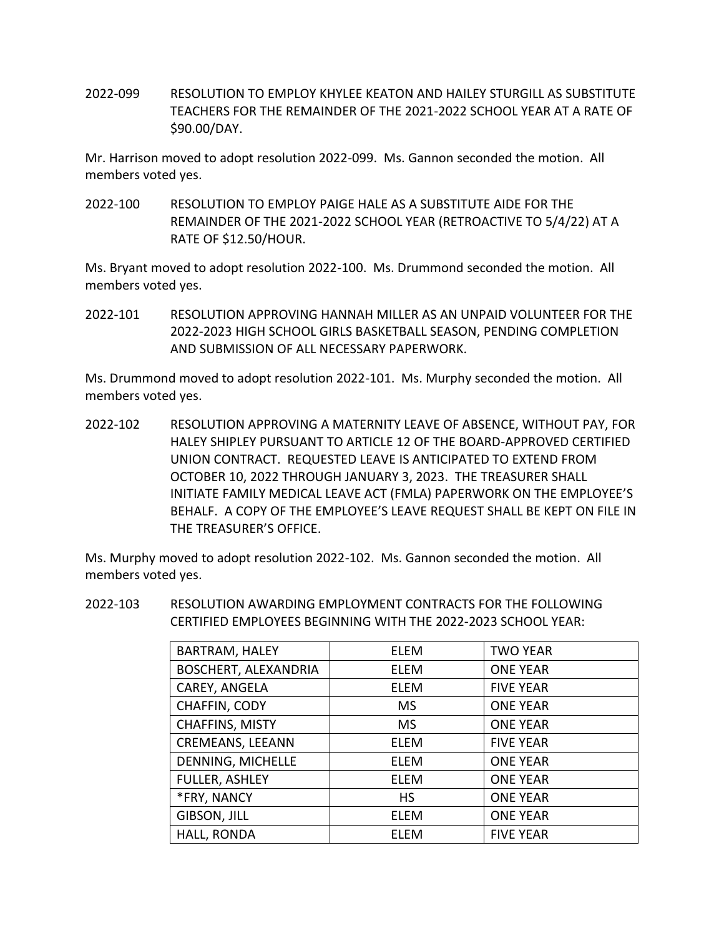2022-099 RESOLUTION TO EMPLOY KHYLEE KEATON AND HAILEY STURGILL AS SUBSTITUTE TEACHERS FOR THE REMAINDER OF THE 2021-2022 SCHOOL YEAR AT A RATE OF \$90.00/DAY.

Mr. Harrison moved to adopt resolution 2022-099. Ms. Gannon seconded the motion. All members voted yes.

2022-100 RESOLUTION TO EMPLOY PAIGE HALE AS A SUBSTITUTE AIDE FOR THE REMAINDER OF THE 2021-2022 SCHOOL YEAR (RETROACTIVE TO 5/4/22) AT A RATE OF \$12.50/HOUR.

Ms. Bryant moved to adopt resolution 2022-100. Ms. Drummond seconded the motion. All members voted yes.

2022-101 RESOLUTION APPROVING HANNAH MILLER AS AN UNPAID VOLUNTEER FOR THE 2022-2023 HIGH SCHOOL GIRLS BASKETBALL SEASON, PENDING COMPLETION AND SUBMISSION OF ALL NECESSARY PAPERWORK.

Ms. Drummond moved to adopt resolution 2022-101. Ms. Murphy seconded the motion. All members voted yes.

2022-102 RESOLUTION APPROVING A MATERNITY LEAVE OF ABSENCE, WITHOUT PAY, FOR HALEY SHIPLEY PURSUANT TO ARTICLE 12 OF THE BOARD-APPROVED CERTIFIED UNION CONTRACT. REQUESTED LEAVE IS ANTICIPATED TO EXTEND FROM OCTOBER 10, 2022 THROUGH JANUARY 3, 2023. THE TREASURER SHALL INITIATE FAMILY MEDICAL LEAVE ACT (FMLA) PAPERWORK ON THE EMPLOYEE'S BEHALF. A COPY OF THE EMPLOYEE'S LEAVE REQUEST SHALL BE KEPT ON FILE IN THE TREASURER'S OFFICE.

Ms. Murphy moved to adopt resolution 2022-102. Ms. Gannon seconded the motion. All members voted yes.

2022-103 RESOLUTION AWARDING EMPLOYMENT CONTRACTS FOR THE FOLLOWING CERTIFIED EMPLOYEES BEGINNING WITH THE 2022-2023 SCHOOL YEAR:

| BARTRAM, HALEY              | <b>ELEM</b> | <b>TWO YEAR</b>  |
|-----------------------------|-------------|------------------|
| <b>BOSCHERT, ALEXANDRIA</b> | ELEM        | <b>ONE YEAR</b>  |
| CAREY, ANGELA               | ELEM        | <b>FIVE YEAR</b> |
| CHAFFIN, CODY               | <b>MS</b>   | <b>ONE YEAR</b>  |
| <b>CHAFFINS, MISTY</b>      | <b>MS</b>   | <b>ONE YEAR</b>  |
| <b>CREMEANS, LEEANN</b>     | <b>ELEM</b> | <b>FIVE YEAR</b> |
| DENNING, MICHELLE           | ELEM        | <b>ONE YEAR</b>  |
| <b>FULLER, ASHLEY</b>       | ELEM        | <b>ONE YEAR</b>  |
| *FRY, NANCY                 | <b>HS</b>   | <b>ONE YEAR</b>  |
| GIBSON, JILL                | ELEM        | <b>ONE YEAR</b>  |
| HALL, RONDA                 | FLFM        | <b>FIVE YEAR</b> |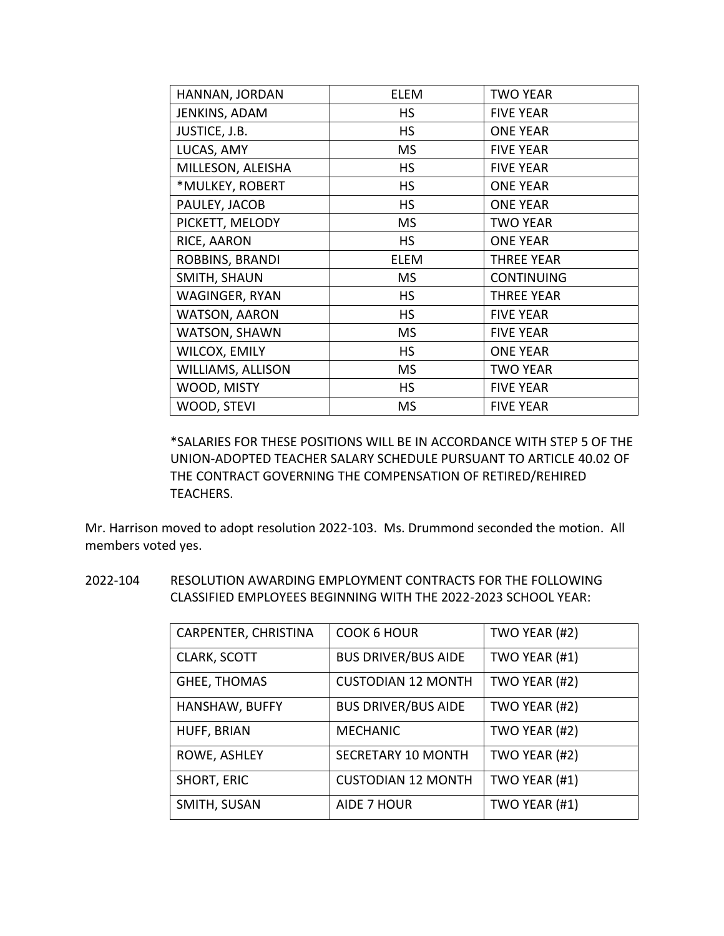| HANNAN, JORDAN           | <b>ELEM</b> | <b>TWO YEAR</b>   |  |
|--------------------------|-------------|-------------------|--|
| JENKINS, ADAM            | <b>HS</b>   | <b>FIVE YEAR</b>  |  |
| JUSTICE, J.B.            | <b>HS</b>   | <b>ONE YEAR</b>   |  |
| LUCAS, AMY               | <b>MS</b>   | <b>FIVE YEAR</b>  |  |
| MILLESON, ALEISHA        | <b>HS</b>   | <b>FIVE YEAR</b>  |  |
| *MULKEY, ROBERT          | <b>HS</b>   | <b>ONE YEAR</b>   |  |
| PAULEY, JACOB            | <b>HS</b>   | <b>ONE YEAR</b>   |  |
| PICKETT, MELODY          | <b>MS</b>   | <b>TWO YEAR</b>   |  |
| RICE, AARON              | <b>HS</b>   | <b>ONE YEAR</b>   |  |
| ROBBINS, BRANDI          | ELEM        | <b>THREE YEAR</b> |  |
| SMITH, SHAUN             | <b>MS</b>   | <b>CONTINUING</b> |  |
| WAGINGER, RYAN           | <b>HS</b>   | <b>THREE YEAR</b> |  |
| <b>WATSON, AARON</b>     | <b>HS</b>   | <b>FIVE YEAR</b>  |  |
| WATSON, SHAWN            | <b>MS</b>   | <b>FIVE YEAR</b>  |  |
| WILCOX, EMILY            | <b>HS</b>   | <b>ONE YEAR</b>   |  |
| <b>WILLIAMS, ALLISON</b> | <b>MS</b>   | <b>TWO YEAR</b>   |  |
| WOOD, MISTY              | <b>HS</b>   | <b>FIVE YEAR</b>  |  |
| WOOD, STEVI              | <b>MS</b>   | <b>FIVE YEAR</b>  |  |

\*SALARIES FOR THESE POSITIONS WILL BE IN ACCORDANCE WITH STEP 5 OF THE UNION-ADOPTED TEACHER SALARY SCHEDULE PURSUANT TO ARTICLE 40.02 OF THE CONTRACT GOVERNING THE COMPENSATION OF RETIRED/REHIRED TEACHERS.

Mr. Harrison moved to adopt resolution 2022-103. Ms. Drummond seconded the motion. All members voted yes.

2022-104 RESOLUTION AWARDING EMPLOYMENT CONTRACTS FOR THE FOLLOWING CLASSIFIED EMPLOYEES BEGINNING WITH THE 2022-2023 SCHOOL YEAR:

| CARPENTER, CHRISTINA | <b>COOK 6 HOUR</b>         | TWO YEAR (#2) |
|----------------------|----------------------------|---------------|
| <b>CLARK, SCOTT</b>  | <b>BUS DRIVER/BUS AIDE</b> | TWO YEAR (#1) |
| <b>GHEE, THOMAS</b>  | <b>CUSTODIAN 12 MONTH</b>  | TWO YEAR (#2) |
| HANSHAW, BUFFY       | <b>BUS DRIVER/BUS AIDE</b> | TWO YEAR (#2) |
| HUFF, BRIAN          | <b>MECHANIC</b>            | TWO YEAR (#2) |
| ROWE, ASHLEY         | <b>SECRETARY 10 MONTH</b>  | TWO YEAR (#2) |
| <b>SHORT, ERIC</b>   | <b>CUSTODIAN 12 MONTH</b>  | TWO YEAR (#1) |
| SMITH, SUSAN         | AIDE 7 HOUR                | TWO YEAR (#1) |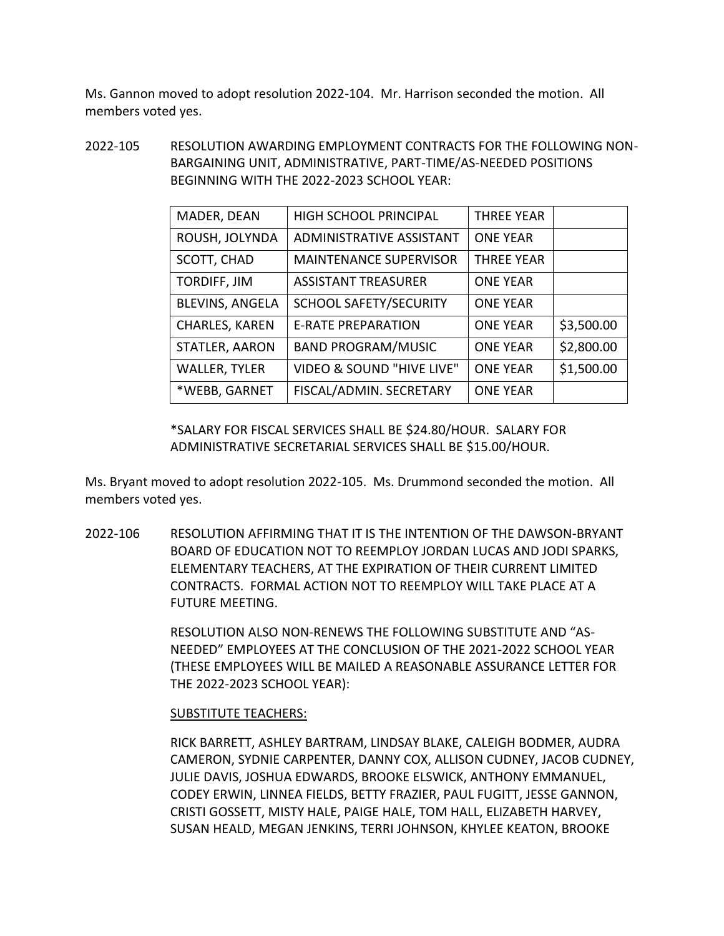Ms. Gannon moved to adopt resolution 2022-104. Mr. Harrison seconded the motion. All members voted yes.

2022-105 RESOLUTION AWARDING EMPLOYMENT CONTRACTS FOR THE FOLLOWING NON-BARGAINING UNIT, ADMINISTRATIVE, PART-TIME/AS-NEEDED POSITIONS BEGINNING WITH THE 2022-2023 SCHOOL YEAR:

| MADER, DEAN            | <b>HIGH SCHOOL PRINCIPAL</b>  | <b>THREE YEAR</b> |            |
|------------------------|-------------------------------|-------------------|------------|
| ROUSH, JOLYNDA         | ADMINISTRATIVE ASSISTANT      | <b>ONE YEAR</b>   |            |
| SCOTT, CHAD            | <b>MAINTENANCE SUPERVISOR</b> | <b>THREE YEAR</b> |            |
| TORDIFF, JIM           | <b>ASSISTANT TREASURER</b>    | <b>ONE YEAR</b>   |            |
| <b>BLEVINS, ANGELA</b> | <b>SCHOOL SAFETY/SECURITY</b> | <b>ONE YEAR</b>   |            |
| <b>CHARLES, KAREN</b>  | <b>E-RATE PREPARATION</b>     | <b>ONE YEAR</b>   | \$3,500.00 |
| STATLER, AARON         | <b>BAND PROGRAM/MUSIC</b>     | <b>ONE YEAR</b>   | \$2,800.00 |
| <b>WALLER, TYLER</b>   | VIDEO & SOUND "HIVE LIVE"     | <b>ONE YEAR</b>   | \$1,500.00 |
| *WEBB, GARNET          | FISCAL/ADMIN. SECRETARY       | <b>ONE YEAR</b>   |            |

\*SALARY FOR FISCAL SERVICES SHALL BE \$24.80/HOUR. SALARY FOR ADMINISTRATIVE SECRETARIAL SERVICES SHALL BE \$15.00/HOUR.

Ms. Bryant moved to adopt resolution 2022-105. Ms. Drummond seconded the motion. All members voted yes.

2022-106 RESOLUTION AFFIRMING THAT IT IS THE INTENTION OF THE DAWSON-BRYANT BOARD OF EDUCATION NOT TO REEMPLOY JORDAN LUCAS AND JODI SPARKS, ELEMENTARY TEACHERS, AT THE EXPIRATION OF THEIR CURRENT LIMITED CONTRACTS. FORMAL ACTION NOT TO REEMPLOY WILL TAKE PLACE AT A FUTURE MEETING.

> RESOLUTION ALSO NON-RENEWS THE FOLLOWING SUBSTITUTE AND "AS-NEEDED" EMPLOYEES AT THE CONCLUSION OF THE 2021-2022 SCHOOL YEAR (THESE EMPLOYEES WILL BE MAILED A REASONABLE ASSURANCE LETTER FOR THE 2022-2023 SCHOOL YEAR):

# SUBSTITUTE TEACHERS:

RICK BARRETT, ASHLEY BARTRAM, LINDSAY BLAKE, CALEIGH BODMER, AUDRA CAMERON, SYDNIE CARPENTER, DANNY COX, ALLISON CUDNEY, JACOB CUDNEY, JULIE DAVIS, JOSHUA EDWARDS, BROOKE ELSWICK, ANTHONY EMMANUEL, CODEY ERWIN, LINNEA FIELDS, BETTY FRAZIER, PAUL FUGITT, JESSE GANNON, CRISTI GOSSETT, MISTY HALE, PAIGE HALE, TOM HALL, ELIZABETH HARVEY, SUSAN HEALD, MEGAN JENKINS, TERRI JOHNSON, KHYLEE KEATON, BROOKE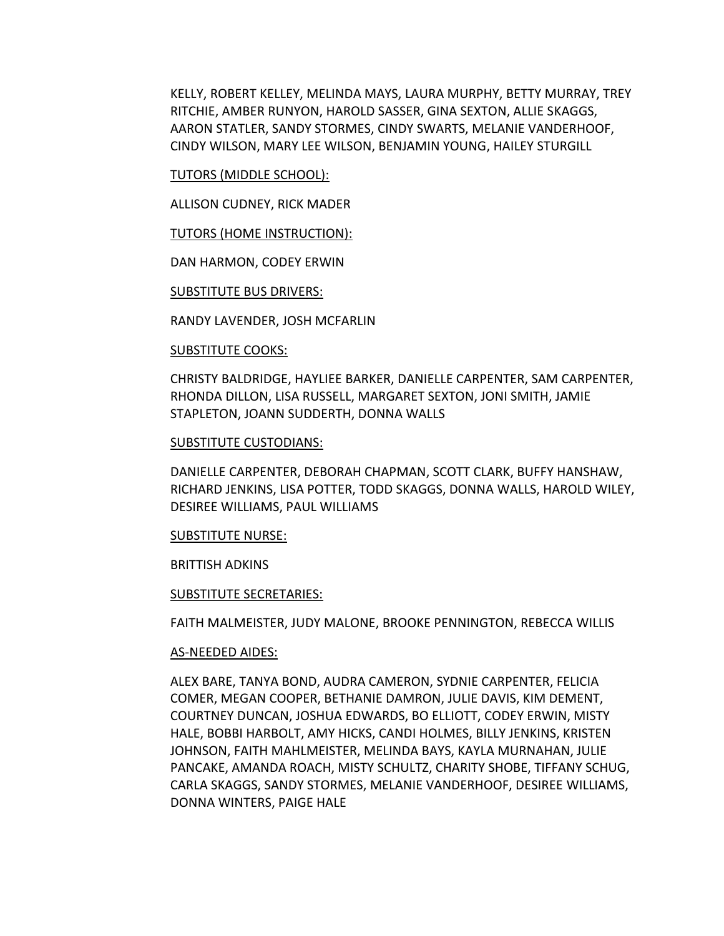KELLY, ROBERT KELLEY, MELINDA MAYS, LAURA MURPHY, BETTY MURRAY, TREY RITCHIE, AMBER RUNYON, HAROLD SASSER, GINA SEXTON, ALLIE SKAGGS, AARON STATLER, SANDY STORMES, CINDY SWARTS, MELANIE VANDERHOOF, CINDY WILSON, MARY LEE WILSON, BENJAMIN YOUNG, HAILEY STURGILL

## TUTORS (MIDDLE SCHOOL):

ALLISON CUDNEY, RICK MADER

TUTORS (HOME INSTRUCTION):

DAN HARMON, CODEY ERWIN

SUBSTITUTE BUS DRIVERS:

RANDY LAVENDER, JOSH MCFARLIN

# SUBSTITUTE COOKS:

CHRISTY BALDRIDGE, HAYLIEE BARKER, DANIELLE CARPENTER, SAM CARPENTER, RHONDA DILLON, LISA RUSSELL, MARGARET SEXTON, JONI SMITH, JAMIE STAPLETON, JOANN SUDDERTH, DONNA WALLS

### SUBSTITUTE CUSTODIANS:

DANIELLE CARPENTER, DEBORAH CHAPMAN, SCOTT CLARK, BUFFY HANSHAW, RICHARD JENKINS, LISA POTTER, TODD SKAGGS, DONNA WALLS, HAROLD WILEY, DESIREE WILLIAMS, PAUL WILLIAMS

#### SUBSTITUTE NURSE:

## BRITTISH ADKINS

#### SUBSTITUTE SECRETARIES:

FAITH MALMEISTER, JUDY MALONE, BROOKE PENNINGTON, REBECCA WILLIS

## AS-NEEDED AIDES:

ALEX BARE, TANYA BOND, AUDRA CAMERON, SYDNIE CARPENTER, FELICIA COMER, MEGAN COOPER, BETHANIE DAMRON, JULIE DAVIS, KIM DEMENT, COURTNEY DUNCAN, JOSHUA EDWARDS, BO ELLIOTT, CODEY ERWIN, MISTY HALE, BOBBI HARBOLT, AMY HICKS, CANDI HOLMES, BILLY JENKINS, KRISTEN JOHNSON, FAITH MAHLMEISTER, MELINDA BAYS, KAYLA MURNAHAN, JULIE PANCAKE, AMANDA ROACH, MISTY SCHULTZ, CHARITY SHOBE, TIFFANY SCHUG, CARLA SKAGGS, SANDY STORMES, MELANIE VANDERHOOF, DESIREE WILLIAMS, DONNA WINTERS, PAIGE HALE